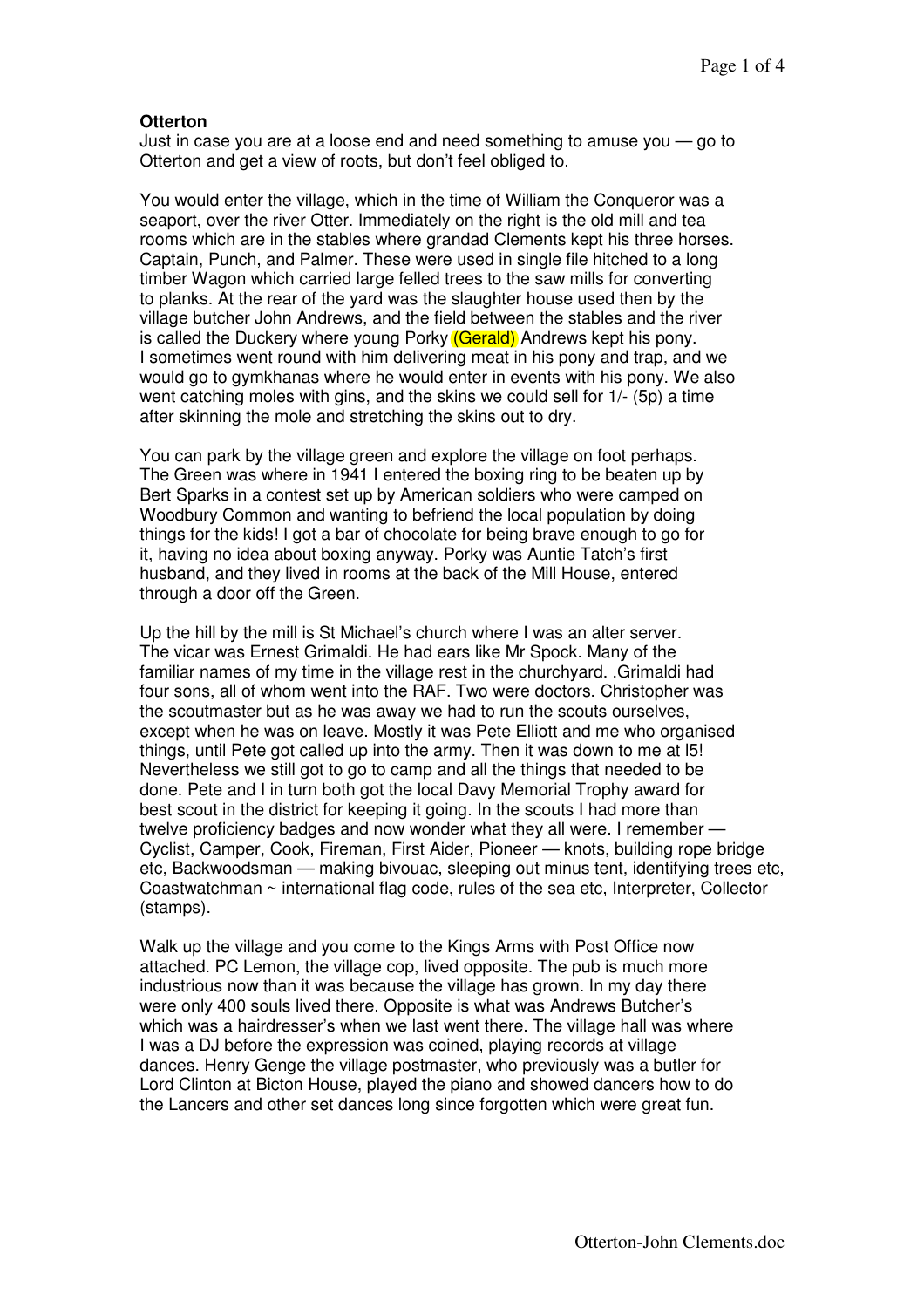## **Otterton**

Just in case you are at a loose end and need something to amuse you — go to Otterton and get a view of roots, but don't feel obliged to.

You would enter the village, which in the time of William the Conqueror was a seaport, over the river Otter. Immediately on the right is the old mill and tea rooms which are in the stables where grandad Clements kept his three horses. Captain, Punch, and Palmer. These were used in single file hitched to a long timber Wagon which carried large felled trees to the saw mills for converting to planks. At the rear of the yard was the slaughter house used then by the village butcher John Andrews, and the field between the stables and the river is called the Duckery where young Porky (Gerald) Andrews kept his pony. I sometimes went round with him delivering meat in his pony and trap, and we would go to gymkhanas where he would enter in events with his pony. We also went catching moles with gins, and the skins we could sell for 1/- (5p) a time after skinning the mole and stretching the skins out to dry.

You can park by the village green and explore the village on foot perhaps. The Green was where in 1941 I entered the boxing ring to be beaten up by Bert Sparks in a contest set up by American soldiers who were camped on Woodbury Common and wanting to befriend the local population by doing things for the kids! I got a bar of chocolate for being brave enough to go for it, having no idea about boxing anyway. Porky was Auntie Tatch's first husband, and they lived in rooms at the back of the Mill House, entered through a door off the Green.

Up the hill by the mill is St Michael's church where I was an alter server. The vicar was Ernest Grimaldi. He had ears like Mr Spock. Many of the familiar names of my time in the village rest in the churchyard. .Grimaldi had four sons, all of whom went into the RAF. Two were doctors. Christopher was the scoutmaster but as he was away we had to run the scouts ourselves, except when he was on leave. Mostly it was Pete Elliott and me who organised things, until Pete got called up into the army. Then it was down to me at l5! Nevertheless we still got to go to camp and all the things that needed to be done. Pete and I in turn both got the local Davy Memorial Trophy award for best scout in the district for keeping it going. In the scouts I had more than twelve proficiency badges and now wonder what they all were. I remember — Cyclist, Camper, Cook, Fireman, First Aider, Pioneer — knots, building rope bridge etc, Backwoodsman — making bivouac, sleeping out minus tent, identifying trees etc, Coastwatchman ~ international flag code, rules of the sea etc, Interpreter, Collector (stamps).

Walk up the village and you come to the Kings Arms with Post Office now attached. PC Lemon, the village cop, lived opposite. The pub is much more industrious now than it was because the village has grown. In my day there were only 400 souls lived there. Opposite is what was Andrews Butcher's which was a hairdresser's when we last went there. The village hall was where I was a DJ before the expression was coined, playing records at village dances. Henry Genge the village postmaster, who previously was a butler for Lord Clinton at Bicton House, played the piano and showed dancers how to do the Lancers and other set dances long since forgotten which were great fun.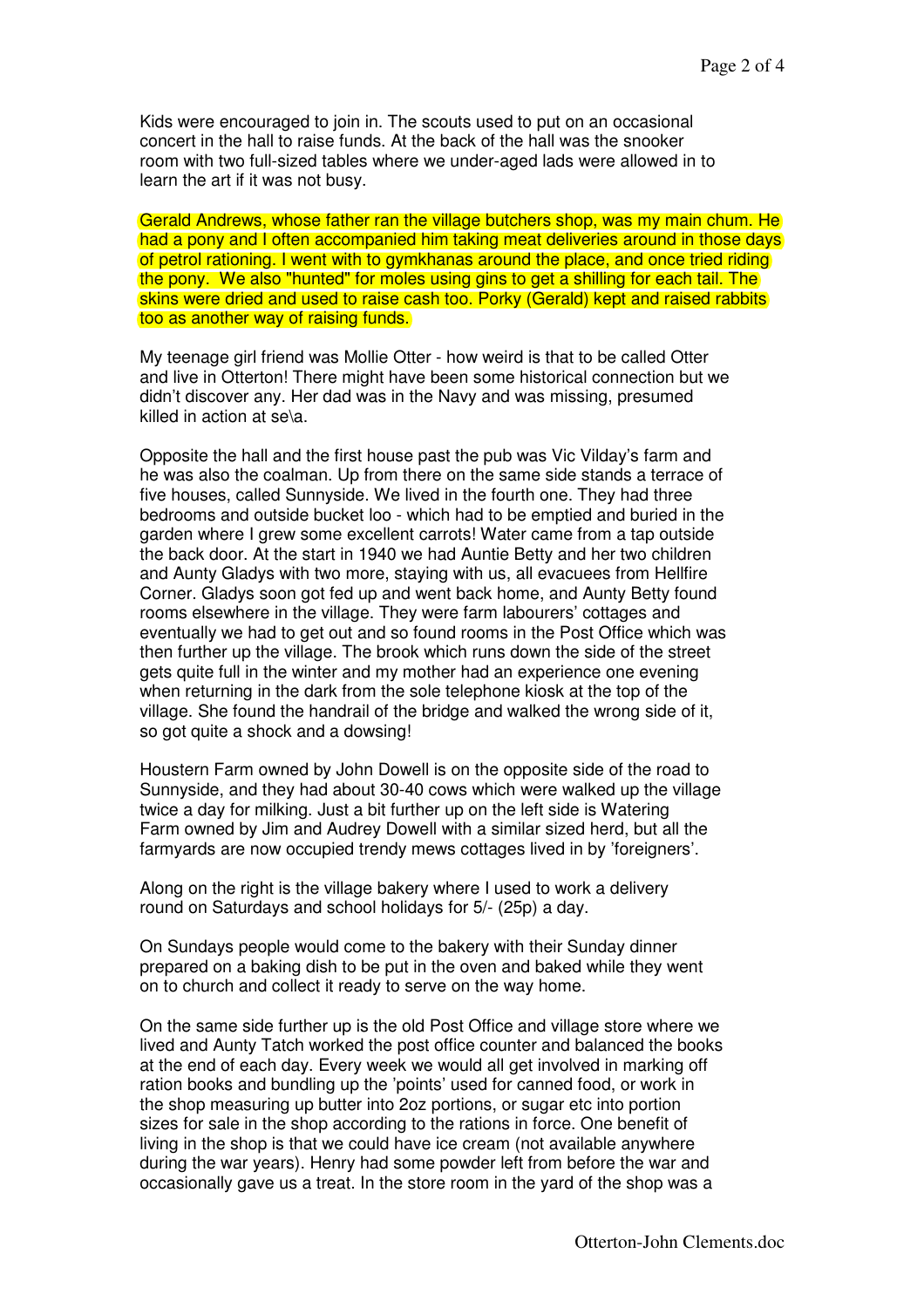Kids were encouraged to join in. The scouts used to put on an occasional concert in the hall to raise funds. At the back of the hall was the snooker room with two full-sized tables where we under-aged lads were allowed in to learn the art if it was not busy.

Gerald Andrews, whose father ran the village butchers shop, was my main chum. He had a pony and I often accompanied him taking meat deliveries around in those days of petrol rationing. I went with to gymkhanas around the place, and once tried riding the pony. We also "hunted" for moles using gins to get a shilling for each tail. The skins were dried and used to raise cash too. Porky (Gerald) kept and raised rabbits too as another way of raising funds.

My teenage girl friend was Mollie Otter - how weird is that to be called Otter and live in Otterton! There might have been some historical connection but we didn't discover any. Her dad was in the Navy and was missing, presumed killed in action at se\a.

Opposite the hall and the first house past the pub was Vic Vilday's farm and he was also the coalman. Up from there on the same side stands a terrace of five houses, called Sunnyside. We lived in the fourth one. They had three bedrooms and outside bucket loo - which had to be emptied and buried in the garden where I grew some excellent carrots! Water came from a tap outside the back door. At the start in 1940 we had Auntie Betty and her two children and Aunty Gladys with two more, staying with us, all evacuees from Hellfire Corner. Gladys soon got fed up and went back home, and Aunty Betty found rooms elsewhere in the village. They were farm labourers' cottages and eventually we had to get out and so found rooms in the Post Office which was then further up the village. The brook which runs down the side of the street gets quite full in the winter and my mother had an experience one evening when returning in the dark from the sole telephone kiosk at the top of the village. She found the handrail of the bridge and walked the wrong side of it, so got quite a shock and a dowsing!

Houstern Farm owned by John Dowell is on the opposite side of the road to Sunnyside, and they had about 30-40 cows which were walked up the village twice a day for milking. Just a bit further up on the left side is Watering Farm owned by Jim and Audrey Dowell with a similar sized herd, but all the farmyards are now occupied trendy mews cottages lived in by 'foreigners'.

Along on the right is the village bakery where I used to work a delivery round on Saturdays and school holidays for 5/- (25p) a day.

On Sundays people would come to the bakery with their Sunday dinner prepared on a baking dish to be put in the oven and baked while they went on to church and collect it ready to serve on the way home.

On the same side further up is the old Post Office and village store where we lived and Aunty Tatch worked the post office counter and balanced the books at the end of each day. Every week we would all get involved in marking off ration books and bundling up the 'points' used for canned food, or work in the shop measuring up butter into 2oz portions, or sugar etc into portion sizes for sale in the shop according to the rations in force. One benefit of living in the shop is that we could have ice cream (not available anywhere during the war years). Henry had some powder left from before the war and occasionally gave us a treat. In the store room in the yard of the shop was a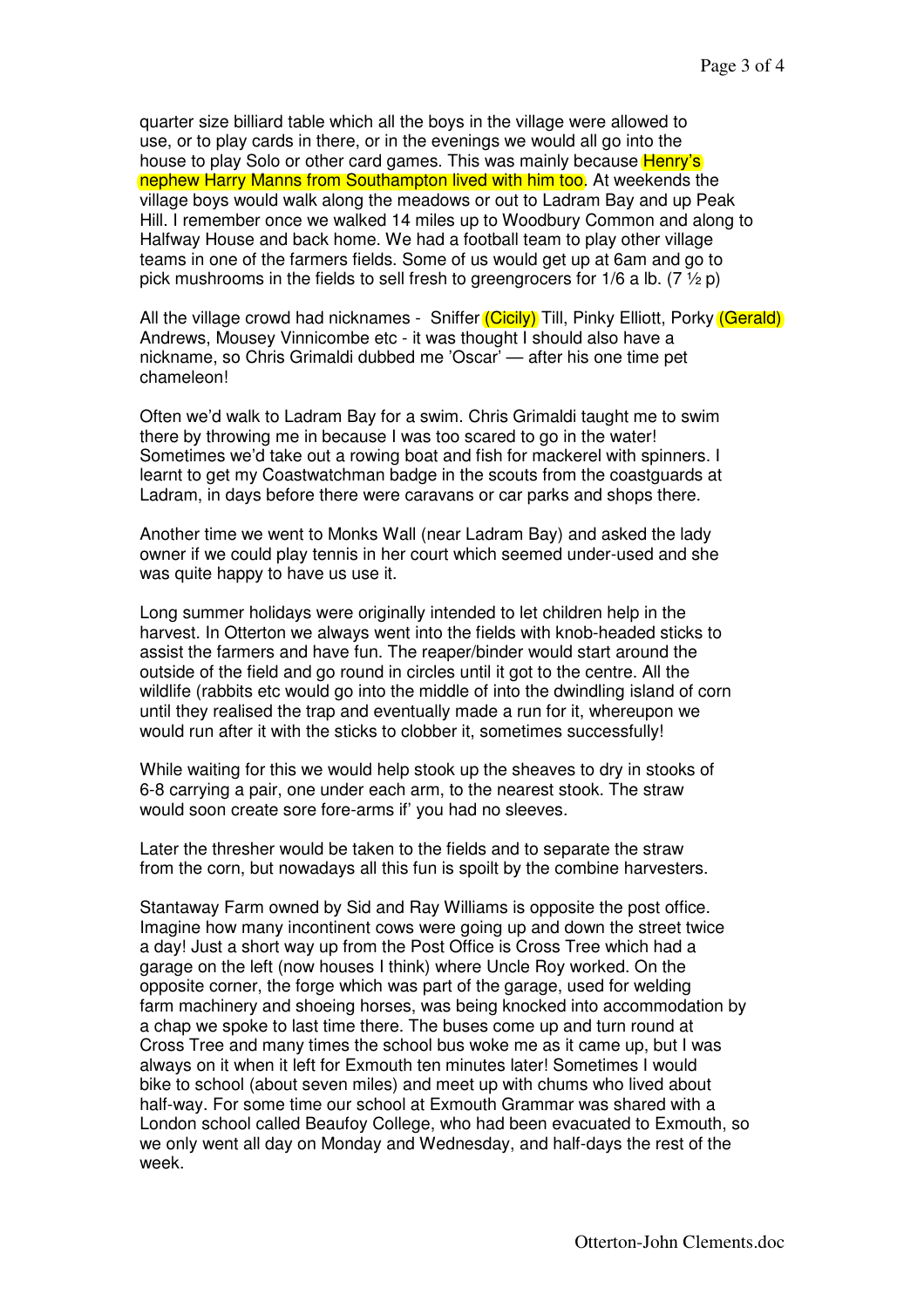quarter size billiard table which all the boys in the village were allowed to use, or to play cards in there, or in the evenings we would all go into the house to play Solo or other card games. This was mainly because **Henry's** nephew Harry Manns from Southampton lived with him too. At weekends the village boys would walk along the meadows or out to Ladram Bay and up Peak Hill. I remember once we walked 14 miles up to Woodbury Common and along to Halfway House and back home. We had a football team to play other village teams in one of the farmers fields. Some of us would get up at 6am and go to pick mushrooms in the fields to sell fresh to greengrocers for 1/6 a lb.  $(7 \frac{1}{2} p)$ 

All the village crowd had nicknames - Sniffer *(Cicily)* Till, Pinky Elliott, Porky *(Gerald)* Andrews, Mousey Vinnicombe etc - it was thought I should also have a nickname, so Chris Grimaldi dubbed me 'Oscar' — after his one time pet chameleon!

Often we'd walk to Ladram Bay for a swim. Chris Grimaldi taught me to swim there by throwing me in because I was too scared to go in the water! Sometimes we'd take out a rowing boat and fish for mackerel with spinners. I learnt to get my Coastwatchman badge in the scouts from the coastguards at Ladram, in days before there were caravans or car parks and shops there.

Another time we went to Monks Wall (near Ladram Bay) and asked the lady owner if we could play tennis in her court which seemed under-used and she was quite happy to have us use it.

Long summer holidays were originally intended to let children help in the harvest. In Otterton we always went into the fields with knob-headed sticks to assist the farmers and have fun. The reaper/binder would start around the outside of the field and go round in circles until it got to the centre. All the wildlife (rabbits etc would go into the middle of into the dwindling island of corn until they realised the trap and eventually made a run for it, whereupon we would run after it with the sticks to clobber it, sometimes successfully!

While waiting for this we would help stook up the sheaves to dry in stooks of 6-8 carrying a pair, one under each arm, to the nearest stook. The straw would soon create sore fore-arms if' you had no sleeves.

Later the thresher would be taken to the fields and to separate the straw from the corn, but nowadays all this fun is spoilt by the combine harvesters.

Stantaway Farm owned by Sid and Ray Williams is opposite the post office. Imagine how many incontinent cows were going up and down the street twice a day! Just a short way up from the Post Office is Cross Tree which had a garage on the left (now houses I think) where Uncle Roy worked. On the opposite corner, the forge which was part of the garage, used for welding farm machinery and shoeing horses, was being knocked into accommodation by a chap we spoke to last time there. The buses come up and turn round at Cross Tree and many times the school bus woke me as it came up, but I was always on it when it left for Exmouth ten minutes later! Sometimes I would bike to school (about seven miles) and meet up with chums who lived about half-way. For some time our school at Exmouth Grammar was shared with a London school called Beaufoy College, who had been evacuated to Exmouth, so we only went all day on Monday and Wednesday, and half-days the rest of the week.